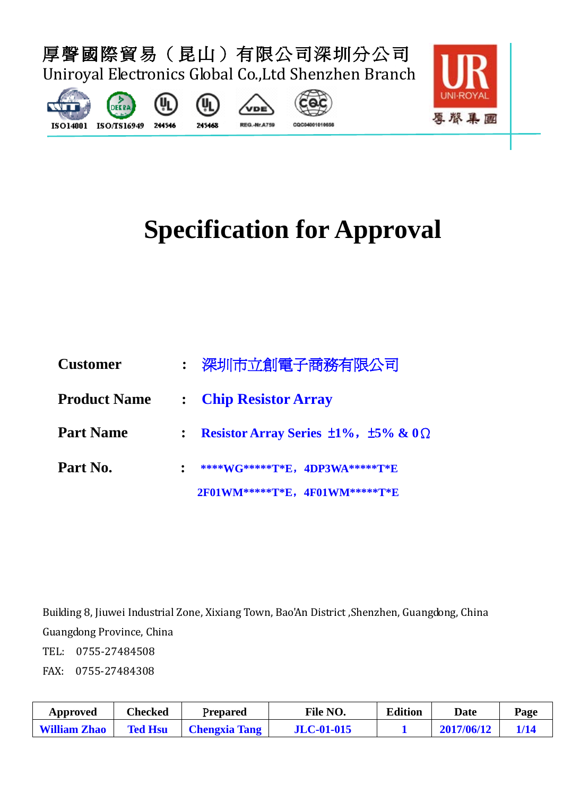

# **Specification for Approval**

| <b>Customer</b>     | : 深圳市立創電子商務有限公司                                         |
|---------------------|---------------------------------------------------------|
| <b>Product Name</b> | : Chip Resistor Array                                   |
| <b>Part Name</b>    | Resistor Array Series $\pm 1\%$ , $\pm 5\%$ & $0\Omega$ |
| Part No.            | ****WG*****T*E, 4DP3WA*****T*E                          |
|                     | 2F01WM*****T*E, 4F01WM*****T*E                          |

Building 8, Jiuwei Industrial Zone, Xixiang Town, Bao'An District ,Shenzhen, Guangdong, China Guangdong Province, China

TEL: 0755-27484508 FAX: 0755-27484308

| Approved            | Checked        | Prepared             | <b>File NO.</b>   | <b>Edition</b> | <b>Date</b> | Page |
|---------------------|----------------|----------------------|-------------------|----------------|-------------|------|
| <b>William Zhao</b> | <b>Ted Hsu</b> | <b>Chengxia Tang</b> | <b>JLC-01-015</b> |                | 2017/06/12  |      |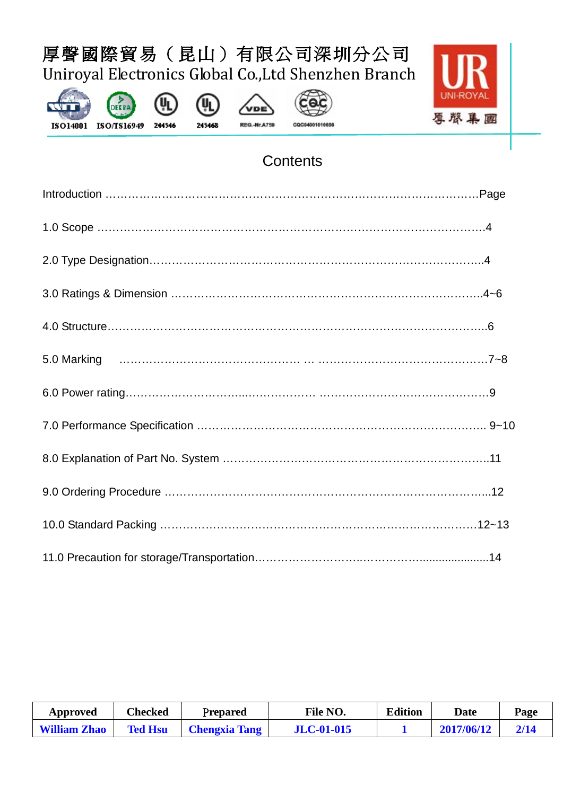











### **Contents**

| Approved            | Checked        | Prepared             | File NO.          | <b>Edition</b> | Date       | Page |
|---------------------|----------------|----------------------|-------------------|----------------|------------|------|
| <b>William Zhao</b> | <b>Ted Hsu</b> | <b>Chengxia Tang</b> | <b>JLC-01-015</b> |                | 2017/06/12 |      |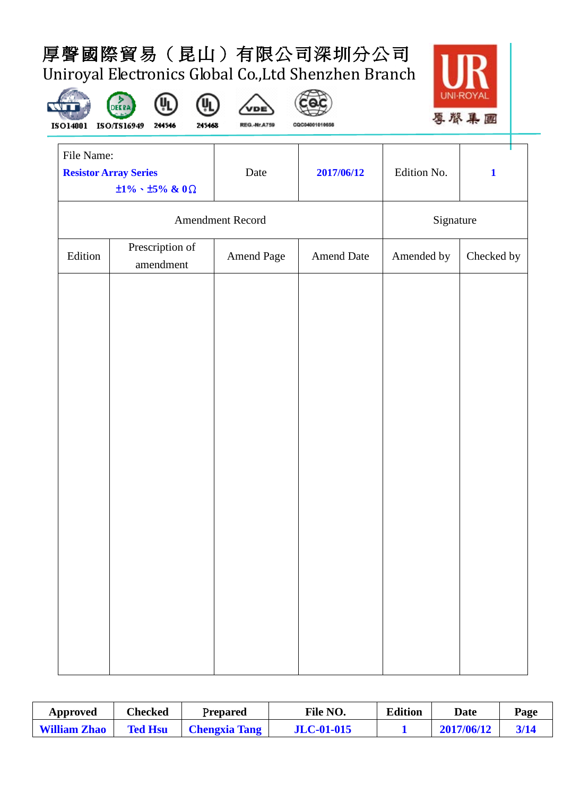











CQC04001010656

| File Name:                   |                                      |                  |                   |             | U.           |
|------------------------------|--------------------------------------|------------------|-------------------|-------------|--------------|
| <b>Resistor Array Series</b> | $\pm 1\% \cdot \pm 5\%$ & 0 $\Omega$ | Date             | 2017/06/12        | Edition No. | $\mathbf{1}$ |
|                              |                                      | Amendment Record |                   | Signature   |              |
| Edition                      | Prescription of<br>amendment         | Amend Page       | <b>Amend Date</b> | Amended by  | Checked by   |
|                              |                                      |                  |                   |             |              |
|                              |                                      |                  |                   |             |              |
|                              |                                      |                  |                   |             |              |
|                              |                                      |                  |                   |             |              |
|                              |                                      |                  |                   |             |              |
|                              |                                      |                  |                   |             |              |
|                              |                                      |                  |                   |             |              |
|                              |                                      |                  |                   |             |              |
|                              |                                      |                  |                   |             |              |
|                              |                                      |                  |                   |             |              |
|                              |                                      |                  |                   |             |              |
|                              |                                      |                  |                   |             |              |

| Approved            | Checked<br>Prepared |                      | File NO.          | <b>Edition</b> | Date       | Page |
|---------------------|---------------------|----------------------|-------------------|----------------|------------|------|
| <b>William Zhao</b> | <b>Ted Hsu</b>      | <b>Chengxia Tang</b> | <b>JLC-01-015</b> |                | 2017/06/12 | 3/14 |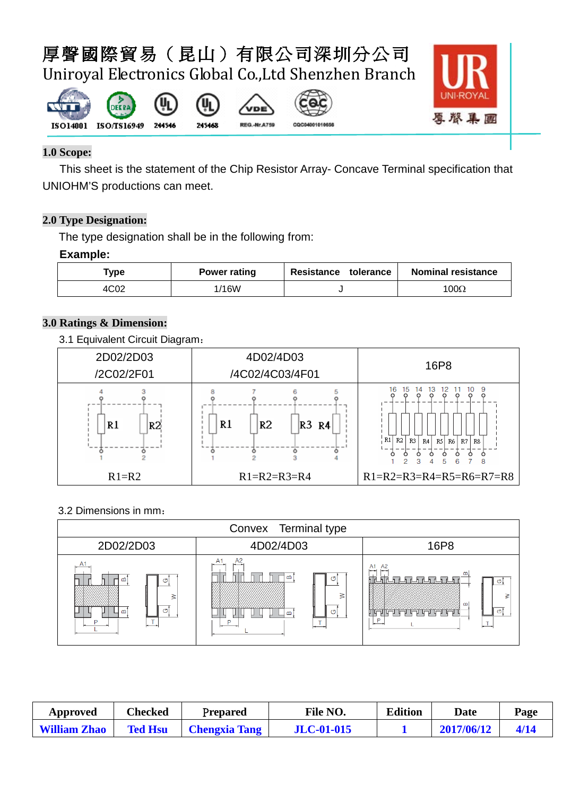(Կ











#### **1.0 Scope:**

This sheet is the statement of the Chip Resistor Array- Concave Terminal specification that UNIOHM'S productions can meet.

#### **2.0 Type Designation:**

The type designation shall be in the following from:

#### **Example:**

| Type | <b>Power rating</b> | Resistance<br>tolerance | <b>Nominal resistance</b> |
|------|---------------------|-------------------------|---------------------------|
| 4C02 | /16W                |                         | $100\Omega$               |

#### **3.0 Ratings & Dimension:**

#### 3.1 Equivalent Circuit Diagram:



#### 3.2 Dimensions in mm:

| Convex Terminal type               |                                                           |                                                                                                 |  |  |  |  |  |  |
|------------------------------------|-----------------------------------------------------------|-------------------------------------------------------------------------------------------------|--|--|--|--|--|--|
| 2D02/2D03                          | 4D02/4D03                                                 | 16P8                                                                                            |  |  |  |  |  |  |
| A1<br>≃<br>O<br>G<br>$\omega$<br>D | A <sub>2</sub><br>≃<br>க<br>$\sigma$<br>ന<br>$\mathbf{r}$ | A <sub>2</sub><br>A <sub>1</sub><br>نو سود.<br>$-$<br><u>in gegeven ge</u><br>c<br>≷<br>തി<br>D |  |  |  |  |  |  |

| Approved            | Checked        | Prepared             | <b>File NO.</b>   | <b>Edition</b> | <b>Date</b> | Page |
|---------------------|----------------|----------------------|-------------------|----------------|-------------|------|
| <b>William Zhao</b> | <b>Ted Hsu</b> | <b>Chengxia Tang</b> | <b>JLC-01-015</b> |                | 2017/06/12  | 4/14 |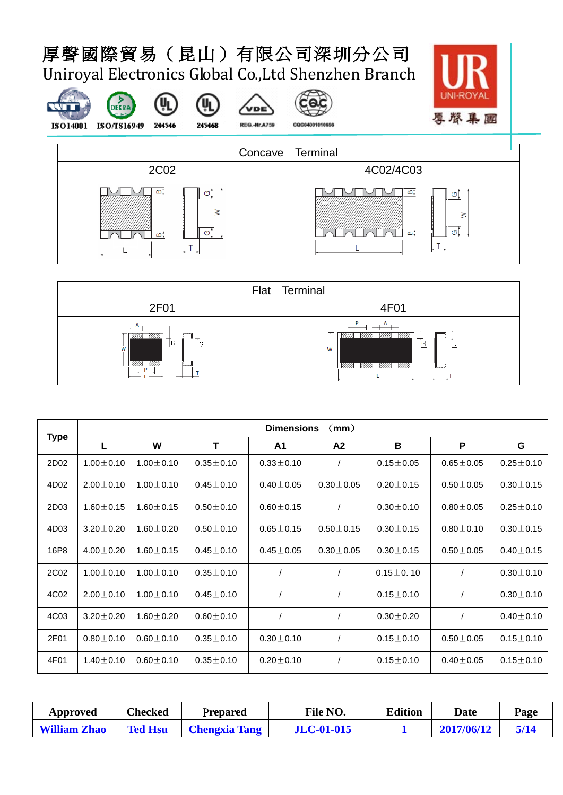(h

245468





DEERA

 $(\mathbf{y}_L)$ 

**VDE** 

**REG.-Nr.A759** 



CQC04001010656





|      |                 | <b>Dimensions</b><br>(mm) |                 |                 |                 |                 |                 |                 |  |  |  |  |
|------|-----------------|---------------------------|-----------------|-----------------|-----------------|-----------------|-----------------|-----------------|--|--|--|--|
| Type |                 | W                         | T               | A1              | A2              | B               | P               | G               |  |  |  |  |
| 2D02 | $1.00 \pm 0.10$ | $1.00 \pm 0.10$           | $0.35 \pm 0.10$ | $0.33 \pm 0.10$ |                 | $0.15 \pm 0.05$ | $0.65 \pm 0.05$ | $0.25 \pm 0.10$ |  |  |  |  |
| 4D02 | $2.00 \pm 0.10$ | $1.00 \pm 0.10$           | $0.45 \pm 0.10$ | $0.40 \pm 0.05$ | $0.30 \pm 0.05$ | $0.20 \pm 0.15$ | $0.50 \pm 0.05$ | $0.30 \pm 0.15$ |  |  |  |  |
| 2D03 | $1.60 \pm 0.15$ | $1.60 \pm 0.15$           | $0.50 \pm 0.10$ | $0.60 \pm 0.15$ | $\sqrt{2}$      | $0.30 \pm 0.10$ | $0.80 \pm 0.05$ | $0.25 \pm 0.10$ |  |  |  |  |
| 4D03 | $3.20 \pm 0.20$ | $1.60 \pm 0.20$           | $0.50 \pm 0.10$ | $0.65 \pm 0.15$ | $0.50 \pm 0.15$ | $0.30 \pm 0.15$ | $0.80 \pm 0.10$ | $0.30 \pm 0.15$ |  |  |  |  |
| 16P8 | $4.00 \pm 0.20$ | $1.60 \pm 0.15$           | $0.45 \pm 0.10$ | $0.45 \pm 0.05$ | $0.30 \pm 0.05$ | $0.30 \pm 0.15$ | $0.50 \pm 0.05$ | $0.40 \pm 0.15$ |  |  |  |  |
| 2C02 | $1.00 \pm 0.10$ | $1.00 \pm 0.10$           | $0.35 \pm 0.10$ |                 |                 | $0.15 \pm 0.10$ |                 | $0.30 \pm 0.10$ |  |  |  |  |
| 4C02 | $2.00 \pm 0.10$ | $1.00 \pm 0.10$           | $0.45 \pm 0.10$ |                 |                 | $0.15 \pm 0.10$ |                 | $0.30 \pm 0.10$ |  |  |  |  |
| 4C03 | $3.20 \pm 0.20$ | $1.60 \pm 0.20$           | $0.60 \pm 0.10$ |                 | $\prime$        | $0.30 \pm 0.20$ | $\prime$        | $0.40 \pm 0.10$ |  |  |  |  |
| 2F01 | $0.80 \pm 0.10$ | $0.60 \pm 0.10$           | $0.35 \pm 0.10$ | $0.30 \pm 0.10$ | $\prime$        | $0.15 \pm 0.10$ | $0.50 \pm 0.05$ | $0.15 \pm 0.10$ |  |  |  |  |
| 4F01 | $1.40 \pm 0.10$ | $0.60 \pm 0.10$           | $0.35 \pm 0.10$ | $0.20 \pm 0.10$ | $\prime$        | $0.15 \pm 0.10$ | $0.40 \pm 0.05$ | $0.15 \pm 0.10$ |  |  |  |  |

| Approved            | Checked        | Prepared             | <b>File NO.</b>   | <b>Edition</b> | Date       | Page |
|---------------------|----------------|----------------------|-------------------|----------------|------------|------|
| <b>William Zhao</b> | <b>Ted Hsu</b> | <b>Chengxia Tang</b> | <b>JLC-01-015</b> |                | 2017/06/12 | 5/14 |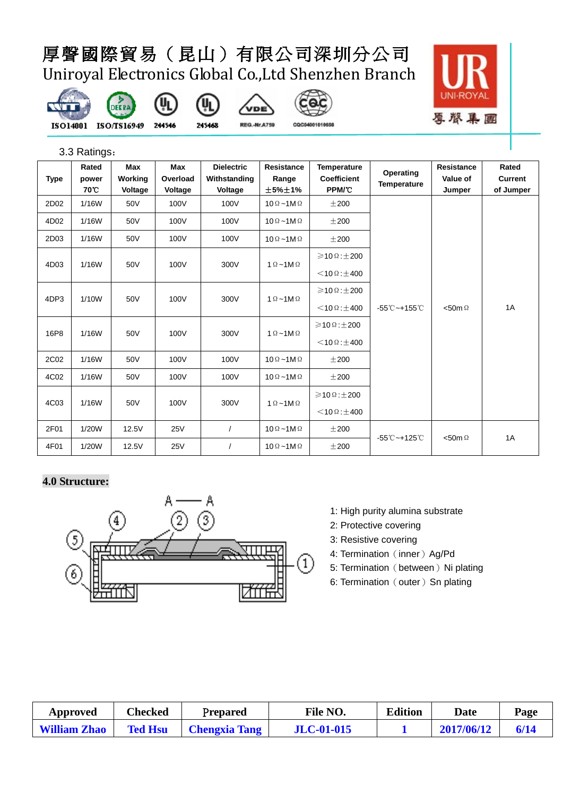መ

245468













3.3 Ratings:

| <b>Type</b> | Rated<br>power<br>70 C | Max<br>Working<br>Voltage | Max<br>Overload<br>Voltage | <b>Dielectric</b><br>Withstanding<br>Voltage | <b>Resistance</b><br>Range<br>±5%±1%                                                                  | <b>Temperature</b><br>Coefficient<br>PPM/°C | Operating<br><b>Temperature</b> | Resistance<br>Value of<br>Jumper | Rated<br><b>Current</b><br>of Jumper |                                    |                  |    |
|-------------|------------------------|---------------------------|----------------------------|----------------------------------------------|-------------------------------------------------------------------------------------------------------|---------------------------------------------|---------------------------------|----------------------------------|--------------------------------------|------------------------------------|------------------|----|
| 2D02        | 1/16W                  | 50V                       | 100V                       | 100V                                         | $10 \Omega - 1 M \Omega$                                                                              | $\pm 200$                                   |                                 |                                  |                                      |                                    |                  |    |
| 4D02        | 1/16W                  | 50V                       | 100V                       | 100V                                         | $10 \Omega - 1M \Omega$                                                                               | $\pm 200$                                   |                                 |                                  |                                      |                                    |                  |    |
| 2D03        | 1/16W                  | 50V                       | 100V                       | 100V                                         | $10 \Omega - 1M \Omega$                                                                               | $\pm 200$                                   |                                 |                                  |                                      |                                    |                  |    |
| 4D03        | 1/16W                  | 50V                       | 100V                       | 300V                                         | $1 \Omega - 1 M \Omega$                                                                               | $\geqslant$ 10 $\Omega$ : $\pm$ 200         |                                 |                                  |                                      |                                    |                  |    |
|             |                        |                           |                            |                                              |                                                                                                       | $<$ 10 $\Omega$ : $\pm$ 400                 |                                 |                                  |                                      |                                    |                  |    |
| 4DP3        | 1/10W                  | 50V                       | 100V                       | 300V                                         | $1 \Omega - 1 M \Omega$                                                                               | $\geqslant$ 10 $\Omega$ : $\pm$ 200         |                                 |                                  |                                      |                                    |                  |    |
|             |                        |                           |                            |                                              |                                                                                                       |                                             |                                 |                                  | $<$ 10 $\Omega$ : $\pm$ 400          | $-55^{\circ}$ C ~+155 $^{\circ}$ C | $<$ 50m $\Omega$ | 1A |
| 16P8        | 1/16W                  | 50V                       | 100V                       |                                              | $\geqslant$ 10 $\Omega$ : $\pm$ 200<br>300V<br>$1 \Omega - 1 M \Omega$<br>$<$ 10 $\Omega$ : $\pm$ 400 |                                             |                                 |                                  |                                      |                                    |                  |    |
|             |                        |                           |                            |                                              |                                                                                                       |                                             |                                 |                                  |                                      |                                    |                  |    |
| 2C02        | 1/16W                  | 50V                       | 100V                       | 100V                                         | $10 \Omega - 1 M \Omega$                                                                              | $\pm 200$                                   |                                 |                                  |                                      |                                    |                  |    |
| 4C02        | 1/16W                  | 50V                       | 100V                       | 100V                                         | $10 \Omega - 1 M \Omega$                                                                              | $\pm 200$                                   |                                 |                                  |                                      |                                    |                  |    |
| 4C03        | 1/16W                  | 50V                       | 100V                       | 300V                                         | $1 \Omega - 1 M \Omega$                                                                               | $\geqslant$ 10 $\Omega$ : $\pm$ 200         |                                 |                                  |                                      |                                    |                  |    |
|             |                        |                           |                            |                                              |                                                                                                       | $<$ 10 Ω : $\pm$ 400                        |                                 |                                  |                                      |                                    |                  |    |
| 2F01        | 1/20W                  | 12.5V                     | <b>25V</b>                 | $\prime$                                     | $10 \Omega - 1 M \Omega$                                                                              | $\pm 200$                                   | -55℃~+125℃<br>$<$ 50m $\Omega$  |                                  | 1A                                   |                                    |                  |    |
| 4F01        | 1/20W                  | 12.5V                     | <b>25V</b>                 |                                              | $10 \Omega - 1M \Omega$                                                                               | ±200                                        |                                 |                                  |                                      |                                    |                  |    |

#### **4.0 Structure:**



- 1: High purity alumina substrate
- 2: Protective covering
- 3: Resistive covering
- 4: Termination (inner) Ag/Pd
- 5: Termination (between) Ni plating
- 6: Termination (outer) Sn plating

| Approved            | Checked        | Prepared             | File NO.          | <b>Edition</b> | Date       | Page |
|---------------------|----------------|----------------------|-------------------|----------------|------------|------|
| <b>William Zhao</b> | <b>Ted Hsu</b> | <b>Chengxia Tang</b> | <b>JLC-01-015</b> |                | 2017/06/12 | 6/14 |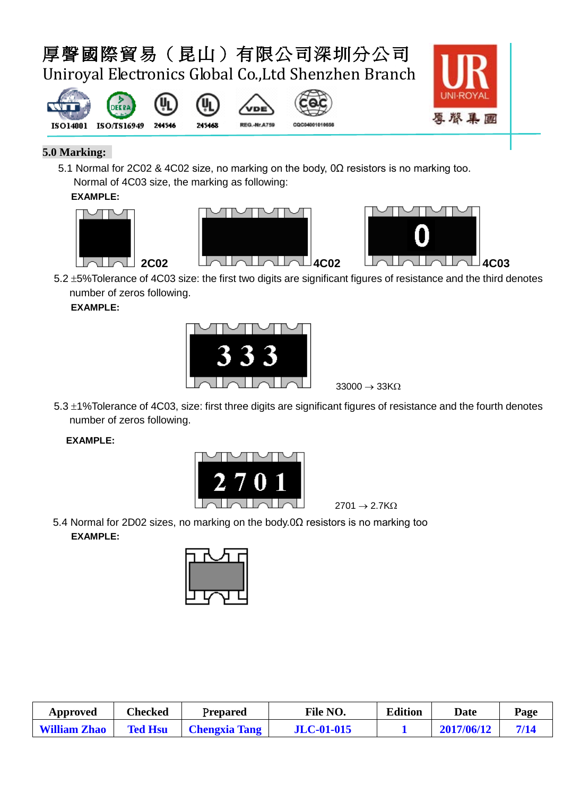







#### **5.0 Marking:**

5.1 Normal for 2C02 & 4C02 size, no marking on the body, 0Ω resistors is no marking too. Normal of 4C03 size, the marking as following:

#### **EXAMPLE:**







5.2 ±5%Tolerance of 4C03 size: the first two digits are significant figures of resistance and the third denotes number of zeros following.

**EXAMPLE:** 



 $33000 \rightarrow 33K\Omega$ 

5.3 ±1%Tolerance of 4C03, size: first three digits are significant figures of resistance and the fourth denotes number of zeros following.

#### **EXAMPLE:**



 $2701 \rightarrow 2.7K\Omega$ 

5.4 Normal for 2D02 sizes, no marking on the body.0Ω resistors is no marking too  **EXAMPLE:**



| Approved            | <b>Checked</b> | Prepared             | <b>File NO.</b>   | <b>Edition</b> | Date       | Page |
|---------------------|----------------|----------------------|-------------------|----------------|------------|------|
| <b>William Zhao</b> | <b>Ted Hsu</b> | <b>Chengxia Tang</b> | <b>JLC-01-015</b> |                | 2017/06/12 |      |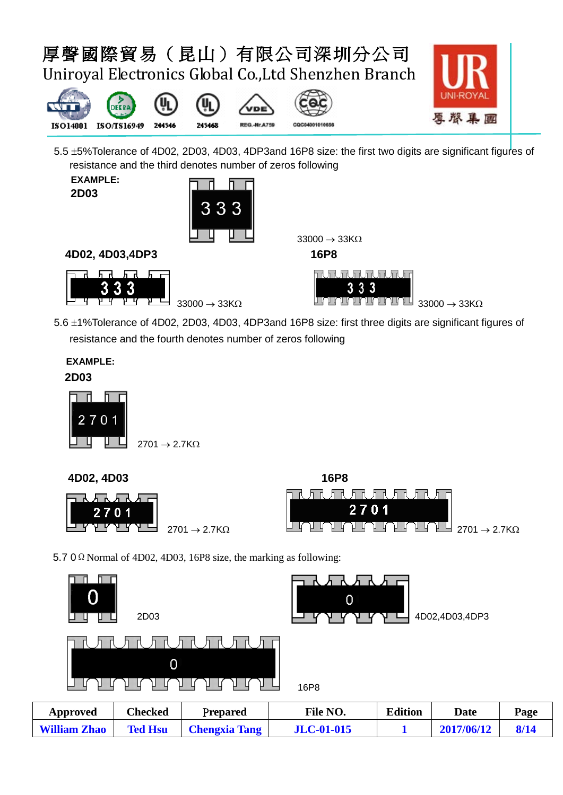



5.5 ±5%Tolerance of 4D02, 2D03, 4D03, 4DP3and 16P8 size: the first two digits are significant figures of resistance and the third denotes number of zeros following

| <b>EXAMPLE:</b> |
|-----------------|
| <b>2D03</b>     |



**4D02, 4D03,4DP3 16P8**





5.6 ±1%Tolerance of 4D02, 2D03, 4D03, 4DP3and 16P8 size: first three digits are significant figures of resistance and the fourth denotes number of zeros following

#### **EXAMPLE: 2D03**





5.7 0  $\Omega$  Normal of 4D02, 4D03, 16P8 size, the marking as following:

| 0<br>2D03<br>u      |                |                      | 0                 | ↴<br>–         | 4D02,4D03,4DP3 |      |
|---------------------|----------------|----------------------|-------------------|----------------|----------------|------|
|                     | 0              |                      | 16P8              |                |                |      |
| <b>Approved</b>     | <b>Checked</b> | Prepared             | File NO.          | <b>Edition</b> | <b>Date</b>    | Page |
| <b>William Zhao</b> | <b>Ted Hsu</b> | <b>Chengxia Tang</b> | <b>JLC-01-015</b> |                | 2017/06/12     | 8/14 |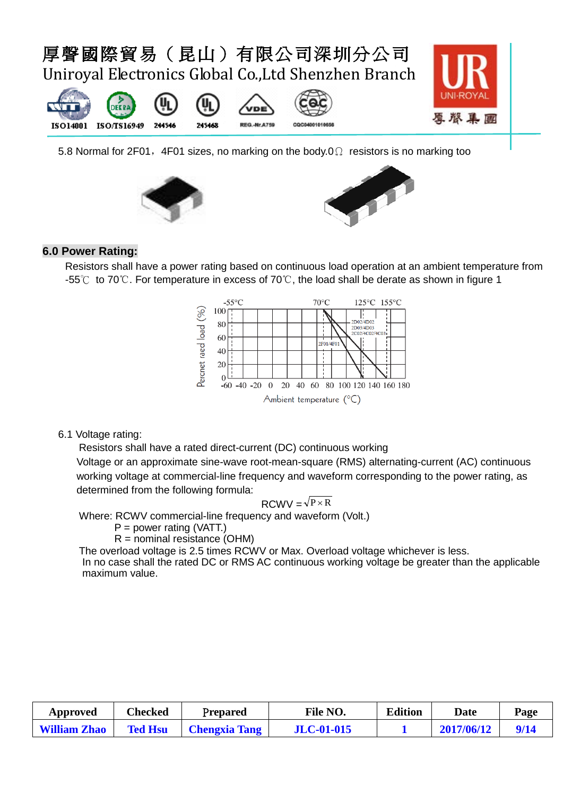





#### **6.0 Power Rating:**

Resistors shall have a power rating based on continuous load operation at an ambient temperature from -55℃ to 70℃. For temperature in excess of 70℃, the load shall be derate as shown in figure 1



#### 6.1 Voltage rating:

Resistors shall have a rated direct-current (DC) continuous working Voltage or an approximate sine-wave root-mean-square (RMS) alternating-current (AC) continuous working voltage at commercial-line frequency and waveform corresponding to the power rating, as determined from the following formula:

$$
RCWV = \sqrt{P \times R}
$$

Where: RCWV commercial-line frequency and waveform (Volt.)

$$
P = power rating (VATT)
$$

 $R =$  nominal resistance (OHM)

The overload voltage is 2.5 times RCWV or Max. Overload voltage whichever is less.

In no case shall the rated DC or RMS AC continuous working voltage be greater than the applicable maximum value.

| Approved            | Checked        | Prepared             | File NO.          | <b>Edition</b> | Date       | Page |
|---------------------|----------------|----------------------|-------------------|----------------|------------|------|
| <b>William Zhao</b> | <b>Ted Hsu</b> | <b>Chengxia Tang</b> | <b>JLC-01-015</b> |                | 2017/06/12 |      |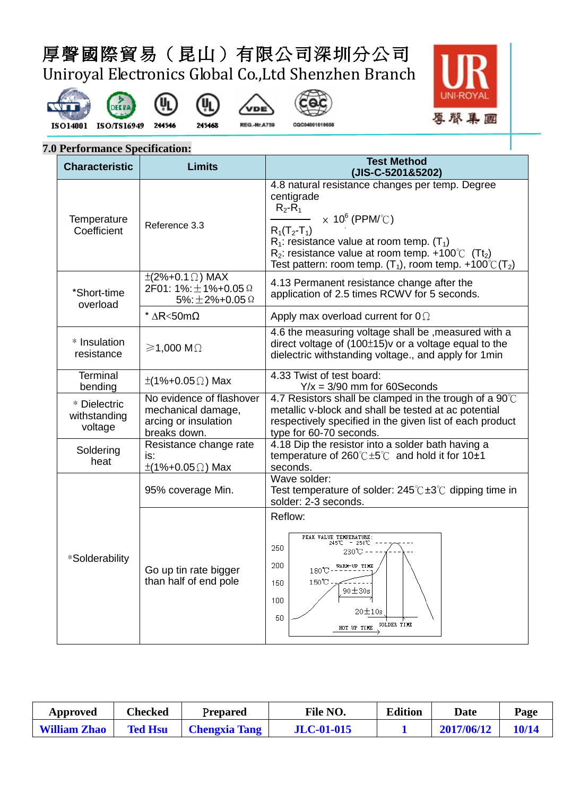(4)

245468













#### **7.0 Performance Specification:**

| <b>Characteristic</b>                   | <b>Limits</b>                                                                                  | <b>Test Method</b><br>(JIS-C-5201&5202)                                                                                                                                                                                                                                                                                           |  |  |  |
|-----------------------------------------|------------------------------------------------------------------------------------------------|-----------------------------------------------------------------------------------------------------------------------------------------------------------------------------------------------------------------------------------------------------------------------------------------------------------------------------------|--|--|--|
| Temperature<br>Coefficient              | Reference 3.3                                                                                  | 4.8 natural resistance changes per temp. Degree<br>centigrade<br>$R_2-R_1$<br>$\times$ 10 <sup>6</sup> (PPM/°C)<br>$R_1(T_2-T_1)$<br>$R_1$ : resistance value at room temp. (T <sub>1</sub> )<br>$R_2$ : resistance value at room temp. +100°C (Tt <sub>2</sub> )<br>Test pattern: room temp. $(T_1)$ , room temp. +100°C $(T_2)$ |  |  |  |
| *Short-time<br>overload                 | $\pm$ (2%+0.1 $\Omega$ ) MAX<br>2F01: 1%: $\pm$ 1%+0.05 $\Omega$<br>5%: $\pm$ 2%+0.05 $\Omega$ | 4.13 Permanent resistance change after the<br>application of 2.5 times RCWV for 5 seconds.                                                                                                                                                                                                                                        |  |  |  |
|                                         | * $\Delta R < 50$ m $\Omega$                                                                   | Apply max overload current for $0\Omega$                                                                                                                                                                                                                                                                                          |  |  |  |
| * Insulation<br>resistance              | $\geq 1,000$ M $\Omega$                                                                        | 4.6 the measuring voltage shall be, measured with a<br>direct voltage of $(100\pm15)v$ or a voltage equal to the<br>dielectric withstanding voltage., and apply for 1 min                                                                                                                                                         |  |  |  |
| <b>Terminal</b><br>bending              | $\pm$ (1%+0.05 $\Omega$ ) Max                                                                  | 4.33 Twist of test board:<br>$Y/x = 3/90$ mm for 60Seconds                                                                                                                                                                                                                                                                        |  |  |  |
| * Dielectric<br>withstanding<br>voltage | No evidence of flashover<br>mechanical damage,<br>arcing or insulation<br>breaks down.         | 4.7 Resistors shall be clamped in the trough of a $90^{\circ}$ C<br>metallic v-block and shall be tested at ac potential<br>respectively specified in the given list of each product<br>type for 60-70 seconds.                                                                                                                   |  |  |  |
| Soldering<br>heat                       | Resistance change rate<br>is:<br>$\pm$ (1%+0.05 $\Omega$ ) Max                                 | 4.18 Dip the resistor into a solder bath having a<br>temperature of $260^{\circ}$ C $\pm 5^{\circ}$ and hold it for 10 $\pm 1$<br>seconds.                                                                                                                                                                                        |  |  |  |
|                                         | 95% coverage Min.                                                                              | Wave solder:<br>Test temperature of solder: $245^{\circ}$ C $\pm 3^{\circ}$ C dipping time in<br>solder: 2-3 seconds.                                                                                                                                                                                                             |  |  |  |
| *Solderability                          | Go up tin rate bigger<br>than half of end pole                                                 | Reflow:<br>PEAK VALUE TEMPERATURE:<br>$245^{\circ}\text{C}$ - $250^{\circ}\text{C}$ -<br>250<br>230℃ ---<br>200<br>WARM-UP TIME<br>$180^\circ\text{C}$<br>$150\mathrm{^\circ}\!{\mathrm C}$<br>150<br>$90 \pm 30s$<br>100<br>$20 \pm 10s$<br>50<br>SOLDER TIME<br>HOT UP TIME                                                     |  |  |  |

| Approved            | Checked        | Prepared             | <b>File NO.</b>   | <b>Edition</b> | Date       | Page  |
|---------------------|----------------|----------------------|-------------------|----------------|------------|-------|
| <b>William Zhao</b> | <b>Ted Hsu</b> | <b>Chengxia Tang</b> | <b>JLC-01-015</b> |                | 2017/06/12 | 10/14 |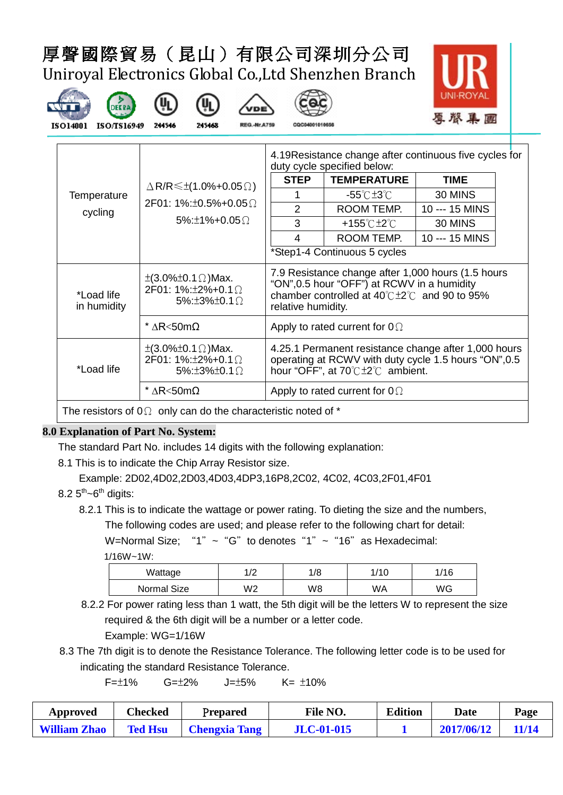(υ<sub>ι</sub>

245468







244546





|                           |                                                                                                               | 4.19 Resistance change after continuous five cycles for<br>duty cycle specified below:                                                                                                             |                                      |                |  |  |
|---------------------------|---------------------------------------------------------------------------------------------------------------|----------------------------------------------------------------------------------------------------------------------------------------------------------------------------------------------------|--------------------------------------|----------------|--|--|
|                           | $\triangle$ R/R $\leq \pm$ (1.0%+0.05 $\Omega$ )                                                              | <b>STEP</b>                                                                                                                                                                                        | <b>TEMPERATURE</b>                   | <b>TIME</b>    |  |  |
| Temperature               |                                                                                                               |                                                                                                                                                                                                    | -55℃±3℃                              | 30 MINS        |  |  |
| cycling                   | $2F01: 1\% : \pm 0.5\% + 0.05 \Omega$                                                                         | $\mathcal{P}$                                                                                                                                                                                      | ROOM TEMP.                           | 10 --- 15 MINS |  |  |
|                           | $5\% + 1\% + 0.05$ $\Omega$                                                                                   | 3                                                                                                                                                                                                  | +155℃±2℃                             | 30 MINS        |  |  |
|                           |                                                                                                               | 4                                                                                                                                                                                                  | ROOM TEMP.                           | 10 --- 15 MINS |  |  |
|                           |                                                                                                               |                                                                                                                                                                                                    | *Step1-4 Continuous 5 cycles         |                |  |  |
| *Load life<br>in humidity | $\pm (3.0\% \pm 0.1 \Omega)$ Max.<br>2F01: $1\%$ : $\pm 2\%$ + 0.1 $\Omega$<br>5%: $\pm 3\% \pm 0.1$ $\Omega$ | 7.9 Resistance change after 1,000 hours (1.5 hours<br>"ON", 0.5 hour "OFF") at RCWV in a humidity<br>chamber controlled at $40^{\circ}$ C $\pm$ 2 $^{\circ}$ C and 90 to 95%<br>relative humidity. |                                      |                |  |  |
|                           | $^*$ ΔR<50mΩ                                                                                                  |                                                                                                                                                                                                    | Apply to rated current for $0\Omega$ |                |  |  |
| *Load life                | $\pm (3.0\% \pm 0.1 \Omega)$ Max.<br>$2F01: 1\% : \pm 2\% + 0.1 \Omega$<br>5%: $\pm 3\% \pm 0.1$ $\Omega$     | 4.25.1 Permanent resistance change after 1,000 hours<br>operating at RCWV with duty cycle 1.5 hours "ON", 0.5<br>hour "OFF", at $70^{\circ}$ C $\pm 2^{\circ}$ C ambient.                          |                                      |                |  |  |
|                           | $^*$ ΔR<50mΩ                                                                                                  | Apply to rated current for $0\Omega$                                                                                                                                                               |                                      |                |  |  |

The resistors of  $0\Omega$  only can do the characteristic noted of  $*$ 

#### **8.0 Explanation of Part No. System:**

The standard Part No. includes 14 digits with the following explanation:

- 8.1 This is to indicate the Chip Array Resistor size.
- Example: 2D02,4D02,2D03,4D03,4DP3,16P8,2C02, 4C02, 4C03,2F01,4F01
- $8.25<sup>th</sup>$ ~6<sup>th</sup> digits:
	- 8.2.1 This is to indicate the wattage or power rating. To dieting the size and the numbers, The following codes are used; and please refer to the following chart for detail:

W=Normal Size; "1"  $\sim$  "G" to denotes "1"  $\sim$  "16" as Hexadecimal:

1/16W~1W:

| - - - -<br>------ |                      |     |      |      |  |  |  |
|-------------------|----------------------|-----|------|------|--|--|--|
| Wattage           | $\sqrt{2}$<br>$\sim$ | /8، | 1/10 | 1/16 |  |  |  |
| Normal Size       | W2                   | W8  | WA   | WG   |  |  |  |

 8.2.2 For power rating less than 1 watt, the 5th digit will be the letters W to represent the size required & the 6th digit will be a number or a letter code.

Example: WG=1/16W

8.3 The 7th digit is to denote the Resistance Tolerance. The following letter code is to be used for indicating the standard Resistance Tolerance.

 $F=\pm 1\%$   $G=\pm 2\%$   $J=\pm 5\%$   $K=\pm 10\%$ 

| Approved            | Checked        | Prepared             | File NO.          | <b>Edition</b> | Date       | Page         |
|---------------------|----------------|----------------------|-------------------|----------------|------------|--------------|
| <b>William Zhao</b> | <b>Ted Hsu</b> | <b>Chengxia Tang</b> | <b>JLC-01-015</b> |                | 2017/06/12 | <b>11/14</b> |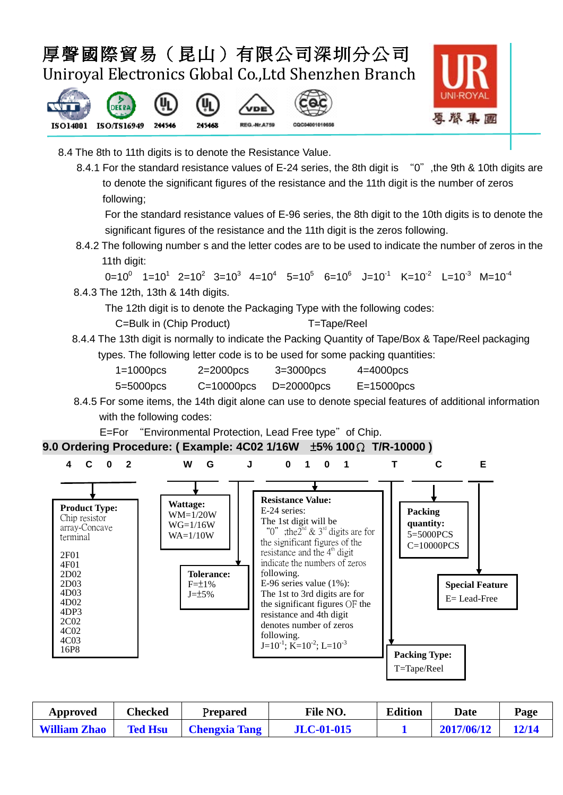







- 8.4 The 8th to 11th digits is to denote the Resistance Value.
	- 8.4.1 For the standard resistance values of E-24 series, the 8th digit is "0", the 9th & 10th digits are to denote the significant figures of the resistance and the 11th digit is the number of zeros following;

For the standard resistance values of E-96 series, the 8th digit to the 10th digits is to denote the significant figures of the resistance and the 11th digit is the zeros following.

8.4.2 The following number s and the letter codes are to be used to indicate the number of zeros in the 11th digit:

```
0=10^0 1=10^1 2=10^2 3=10^3 4=10^4 5=10^5 6=10^6 J=10^1 K=10^2 L=10^3 M=10^4
```
8.4.3 The 12th, 13th & 14th digits.

The 12th digit is to denote the Packaging Type with the following codes:

- C=Bulk in (Chip Product) T=Tape/Reel
- 8.4.4 The 13th digit is normally to indicate the Packing Quantity of Tape/Box & Tape/Reel packaging types. The following letter code is to be used for some packing quantities:

| $1=1000$ pcs | $2=2000$ pcs | $3=3000$ pcs | $4=4000$ pcs    |
|--------------|--------------|--------------|-----------------|
| 5=5000pcs    | $C = 10000$  | $D=20000$    | $E = 15000$ pcs |

 8.4.5 For some items, the 14th digit alone can use to denote special features of additional information with the following codes:

E=For "Environmental Protection, Lead Free type" of Chip.

**9.0 Ordering Procedure: ( Example: 4C02 1/16W** ±**5% 100**Ω **T/R-10000 )**



| Approved            | Checked        | Prepared             | File NO.          | <b>Edition</b> | Date       | Page  |
|---------------------|----------------|----------------------|-------------------|----------------|------------|-------|
| <b>William Zhao</b> | <b>Ted Hsu</b> | <b>Chengxia Tang</b> | <b>JLC-01-015</b> |                | 2017/06/12 | 12/14 |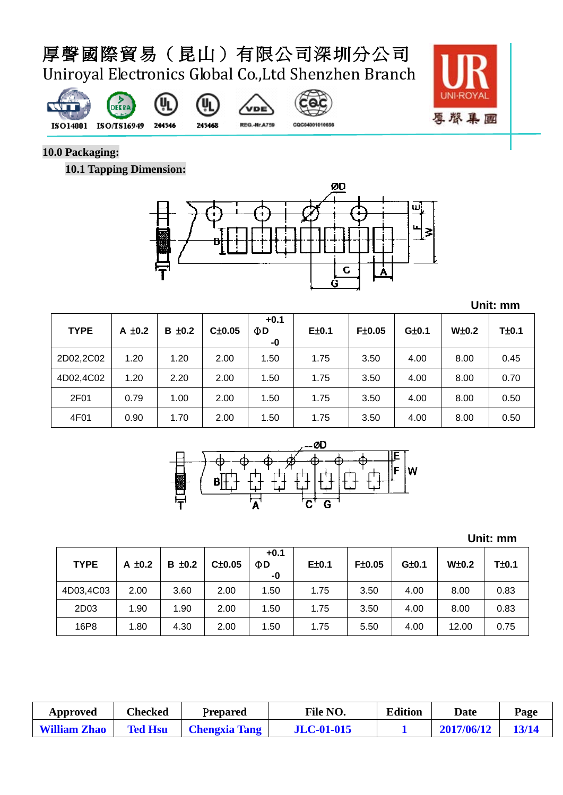መ











CQC04001010656

**10.0 Packaging:**

**10.1 Tapping Dimension:**



**Unit: mm**

| <b>TYPE</b> | A $\pm$ 0.2 | $B \pm 0.2$ | C±0.05 | $+0.1$<br>$\Phi$ D<br>-0 | E±0.1 | F±0.05 | G±0.1 | $W\pm0.2$ | $T\pm0.1$ |
|-------------|-------------|-------------|--------|--------------------------|-------|--------|-------|-----------|-----------|
| 2D02,2C02   | 1.20        | 1.20        | 2.00   | 1.50                     | 1.75  | 3.50   | 4.00  | 8.00      | 0.45      |
| 4D02,4C02   | 1.20        | 2.20        | 2.00   | 1.50                     | 1.75  | 3.50   | 4.00  | 8.00      | 0.70      |
| 2F01        | 0.79        | 1.00        | 2.00   | 1.50                     | 1.75  | 3.50   | 4.00  | 8.00      | 0.50      |
| 4F01        | 0.90        | 1.70        | 2.00   | 1.50                     | 1.75  | 3.50   | 4.00  | 8.00      | 0.50      |



**Unit: mm**

| <b>TYPE</b> | A $\pm$ 0.2 | $B \pm 0.2$ | Cpm0.05 | $+0.1$<br>ΦD<br>-0 | E±0.1 | F±0.05 | G±0.1 | $W\pm0.2$ | T±0.1 |
|-------------|-------------|-------------|---------|--------------------|-------|--------|-------|-----------|-------|
| 4D03,4C03   | 2.00        | 3.60        | 2.00    | 1.50               | 1.75  | 3.50   | 4.00  | 8.00      | 0.83  |
| 2D03        | 1.90        | 1.90        | 2.00    | 1.50               | 1.75  | 3.50   | 4.00  | 8.00      | 0.83  |
| 16P8        | 1.80        | 4.30        | 2.00    | 1.50               | 1.75  | 5.50   | 4.00  | 12.00     | 0.75  |

| Approved            | Checked        | Prepared             | File NO.          | <b>Edition</b> | <b>Date</b> | Page  |
|---------------------|----------------|----------------------|-------------------|----------------|-------------|-------|
| <b>William Zhao</b> | <b>Ted Hsu</b> | <b>Chengxia Tang</b> | <b>JLC-01-015</b> |                | 2017/06/12  | 13/14 |